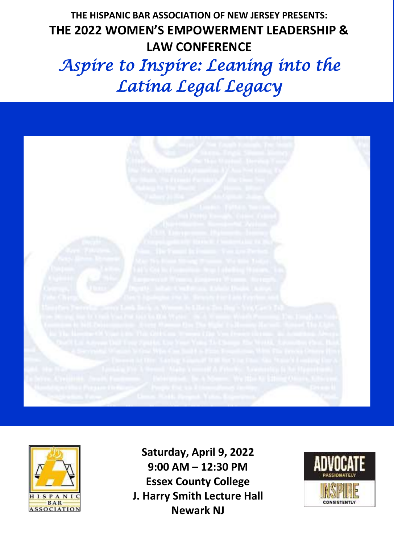## LAW CONFERENCE **THE HISPANIC BAR ASSOCIATION OF NEW JERSEY PRESENTS: THE 2022 WOMEN'S EMPOWERMENT LEADERSHIP &**

# Aspire to Inspire: Leaning into the *Latina Legal Legacy*





**Saturday, April 9, 2022 9:00 AM – 12:30 PM Essex County College J. Harry Smith Lecture Hall Newark NJ**

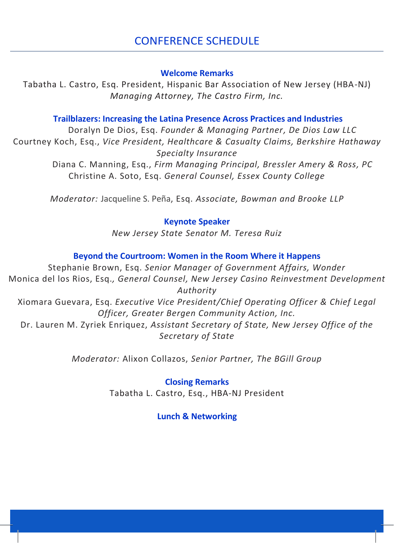#### **Welcome Remarks**

Tabatha L. Castro, Esq. President, Hispanic Bar Association of New Jersey (HBA-NJ) *Managing Attorney, The Castro Firm, Inc.*

#### **Trailblazers: Increasing the Latina Presence Across Practices and Industries**

Doralyn De Dios, Esq. *Founder & Managing Partner, De Dios Law LLC* Courtney Koch, Esq., *Vice President, Healthcare & Casualty Claims, Berkshire Hathaway Specialty Insurance*

Diana C. Manning, Esq., *Firm Managing Principal, Bressler Amery & Ross, PC* Christine A. Soto, Esq. *General Counsel, Essex County College*

*Moderator:* Jacqueline S. Peña, Esq. *Associate, Bowman and Brooke LLP*

#### **Keynote Speaker**

*New Jersey State Senator M. Teresa Ruiz*

#### **Beyond the Courtroom: Women in the Room Where it Happens**

Stephanie Brown, Esq. *Senior Manager of Government Affairs, Wonder* Monica del los Rios, Esq.*, General Counsel, New Jersey Casino Reinvestment Development Authority* Xiomara Guevara, Esq. *Executive Vice President/Chief Operating Officer & Chief Legal Officer, Greater Bergen Community Action, Inc.* Dr. Lauren M. Zyriek Enriquez, *Assistant Secretary of State, New Jersey Office of the Secretary of State*

*Moderator:* Alixon Collazos, *Senior Partner, The BGill Group*

#### **Closing Remarks**

Tabatha L. Castro, Esq., HBA-NJ President

#### **Lunch & Networking**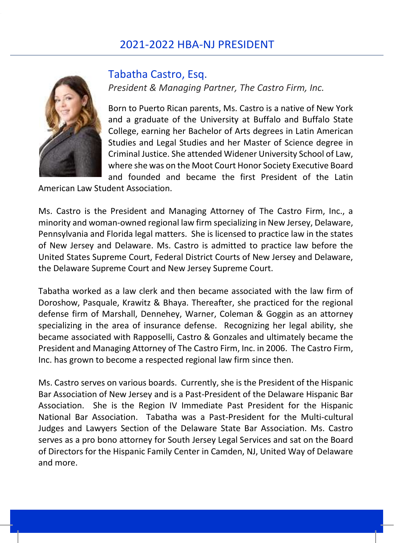#### 2021-2022 HBA-NJ PRESIDENT



#### Tabatha Castro, Esq.

*President & Managing Partner, The Castro Firm, Inc.*

Born to Puerto Rican parents, Ms. Castro is a native of New York and a graduate of the University at Buffalo and Buffalo State College, earning her Bachelor of Arts degrees in Latin American Studies and Legal Studies and her Master of Science degree in Criminal Justice. She attended Widener University School of Law, where she was on the Moot Court Honor Society Executive Board and founded and became the first President of the Latin

American Law Student Association.

Ms. Castro is the President and Managing Attorney of The Castro Firm, Inc., a minority and woman-owned regional law firm specializing in New Jersey, Delaware, Pennsylvania and Florida legal matters. She is licensed to practice law in the states of New Jersey and Delaware. Ms. Castro is admitted to practice law before the United States Supreme Court, Federal District Courts of New Jersey and Delaware, the Delaware Supreme Court and New Jersey Supreme Court.

Tabatha worked as a law clerk and then became associated with the law firm of Doroshow, Pasquale, Krawitz & Bhaya. Thereafter, she practiced for the regional defense firm of Marshall, Dennehey, Warner, Coleman & Goggin as an attorney specializing in the area of insurance defense. Recognizing her legal ability, she became associated with Rapposelli, Castro & Gonzales and ultimately became the President and Managing Attorney of The Castro Firm, Inc. in 2006. The Castro Firm, Inc. has grown to become a respected regional law firm since then.

Ms. Castro serves on various boards. Currently, she is the President of the Hispanic Bar Association of New Jersey and is a Past-President of the Delaware Hispanic Bar Association. She is the Region IV Immediate Past President for the Hispanic National Bar Association. Tabatha was a Past-President for the Multi-cultural Judges and Lawyers Section of the Delaware State Bar Association. Ms. Castro serves as a pro bono attorney for South Jersey Legal Services and sat on the Board of Directors for the Hispanic Family Center in Camden, NJ, United Way of Delaware and more.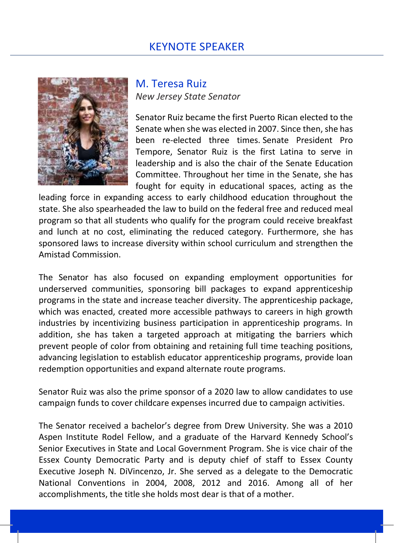#### KEYNOTE SPEAKER



 M. Teresa Ruiz *New Jersey State Senator*

Senator Ruiz became the first Puerto Rican elected to the Senate when she was elected in 2007. Since then, she has been re-elected three times. Senate President Pro Tempore, Senator Ruiz is the first Latina to serve in leadership and is also the chair of the Senate Education Committee. Throughout her time in the Senate, she has fought for equity in educational spaces, acting as the

leading force in expanding access to early childhood education throughout the state. She also spearheaded the law to build on the federal free and reduced meal program so that all students who qualify for the program could receive breakfast and lunch at no cost, eliminating the reduced category. Furthermore, she has sponsored laws to increase diversity within school curriculum and strengthen the Amistad Commission.

The Senator has also focused on expanding employment opportunities for underserved communities, sponsoring bill packages to expand apprenticeship programs in the state and increase teacher diversity. The apprenticeship package, which was enacted, created more accessible pathways to careers in high growth industries by incentivizing business participation in apprenticeship programs. In addition, she has taken a targeted approach at mitigating the barriers which prevent people of color from obtaining and retaining full time teaching positions, advancing legislation to establish educator apprenticeship programs, provide loan redemption opportunities and expand alternate route programs.

Senator Ruiz was also the prime sponsor of a 2020 law to allow candidates to use campaign funds to cover childcare expenses incurred due to campaign activities.

The Senator received a bachelor's degree from Drew University. She was a 2010 Aspen Institute Rodel Fellow, and a graduate of the Harvard Kennedy School's Senior Executives in State and Local Government Program. She is vice chair of the Essex County Democratic Party and is deputy chief of staff to Essex County Executive Joseph N. DiVincenzo, Jr. She served as a delegate to the Democratic National Conventions in 2004, 2008, 2012 and 2016. Among all of her accomplishments, the title she holds most dear is that of a mother.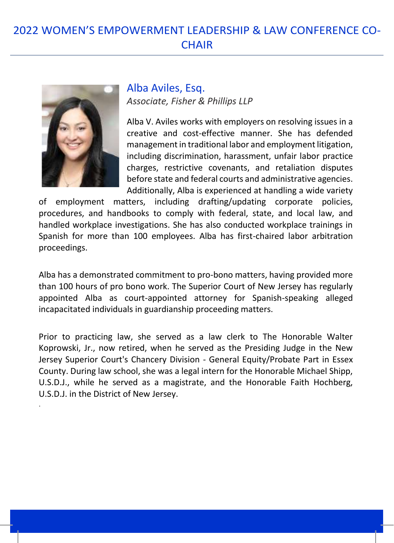## 2022 WOMEN'S EMPOWERMENT LEADERSHIP & LAW CONFERENCE CO-**CHAIR**



.

 Alba Aviles, Esq. *Associate, Fisher & Phillips LLP*

Alba V. Aviles works with employers on resolving issues in a creative and cost-effective manner. She has defended management in traditional labor and employment litigation, including discrimination, harassment, unfair labor practice charges, restrictive covenants, and retaliation disputes before state and federal courts and administrative agencies. Additionally, Alba is experienced at handling a wide variety

of employment matters, including drafting/updating corporate policies, procedures, and handbooks to comply with federal, state, and local law, and handled workplace investigations. She has also conducted workplace trainings in Spanish for more than 100 employees. Alba has first-chaired labor arbitration proceedings.

Alba has a demonstrated commitment to pro-bono matters, having provided more than 100 hours of pro bono work. The Superior Court of New Jersey has regularly appointed Alba as court-appointed attorney for Spanish-speaking alleged incapacitated individuals in guardianship proceeding matters.

Prior to practicing law, she served as a law clerk to The Honorable Walter Koprowski, Jr., now retired, when he served as the Presiding Judge in the New Jersey Superior Court's Chancery Division - General Equity/Probate Part in Essex County. During law school, she was a legal intern for the Honorable Michael Shipp, U.S.D.J., while he served as a magistrate, and the Honorable Faith Hochberg, U.S.D.J. in the District of New Jersey.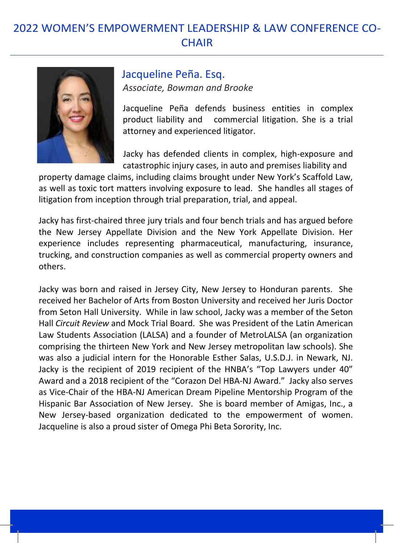### 2022 WOMEN'S EMPOWERMENT LEADERSHIP & LAW CONFERENCE CO-**CHAIR**



#### Jacqueline Peña. Esq. *Associate, Bowman and Brooke*

Jacqueline Peña defends business entities in complex product liability and commercial litigation. She is a trial attorney and experienced litigator.

Jacky has defended clients in complex, high-exposure and catastrophic injury cases, in auto and premises liability and

property damage claims, including claims brought under New York's Scaffold Law, as well as toxic tort matters involving exposure to lead. She handles all stages of litigation from inception through trial preparation, trial, and appeal.

Jacky has first-chaired three jury trials and four bench trials and has argued before the New Jersey Appellate Division and the New York Appellate Division. Her experience includes representing pharmaceutical, manufacturing, insurance, trucking, and construction companies as well as commercial property owners and others.

Jacky was born and raised in Jersey City, New Jersey to Honduran parents. She received her Bachelor of Arts from Boston University and received her Juris Doctor from Seton Hall University. While in law school, Jacky was a member of the Seton Hall *Circuit Review* and Mock Trial Board. She was President of the Latin American Law Students Association (LALSA) and a founder of MetroLALSA (an organization comprising the thirteen New York and New Jersey metropolitan law schools). She was also a judicial intern for the Honorable Esther Salas, U.S.D.J. in Newark, NJ. Jacky is the recipient of 2019 recipient of the HNBA's "Top Lawyers under 40" Award and a 2018 recipient of the "Corazon Del HBA-NJ Award." Jacky also serves as Vice-Chair of the HBA-NJ American Dream Pipeline Mentorship Program of the Hispanic Bar Association of New Jersey. She is board member of Amigas, Inc., a New Jersey-based organization dedicated to the empowerment of women. Jacqueline is also a proud sister of Omega Phi Beta Sorority, Inc.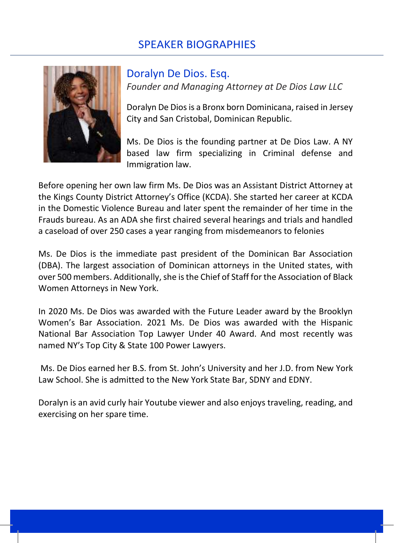

Doralyn De Dios. Esq. *Founder and Managing Attorney at De Dios Law LLC*

Doralyn De Dios is a Bronx born Dominicana, raised in Jersey City and San Cristobal, Dominican Republic.

Ms. De Dios is the founding partner at De Dios Law. A NY based law firm specializing in Criminal defense and Immigration law.

Before opening her own law firm Ms. De Dios was an Assistant District Attorney at the Kings County District Attorney's Office (KCDA). She started her career at KCDA in the Domestic Violence Bureau and later spent the remainder of her time in the Frauds bureau. As an ADA she first chaired several hearings and trials and handled a caseload of over 250 cases a year ranging from misdemeanors to felonies

Ms. De Dios is the immediate past president of the Dominican Bar Association (DBA). The largest association of Dominican attorneys in the United states, with over 500 members. Additionally, she is the Chief of Staff for the Association of Black Women Attorneys in New York.

In 2020 Ms. De Dios was awarded with the Future Leader award by the Brooklyn Women's Bar Association. 2021 Ms. De Dios was awarded with the Hispanic National Bar Association Top Lawyer Under 40 Award. And most recently was named NY's Top City & State 100 Power Lawyers.

Ms. De Dios earned her B.S. from St. John's University and her J.D. from New York Law School. She is admitted to the New York State Bar, SDNY and EDNY.

Doralyn is an avid curly hair Youtube viewer and also enjoys traveling, reading, and exercising on her spare time.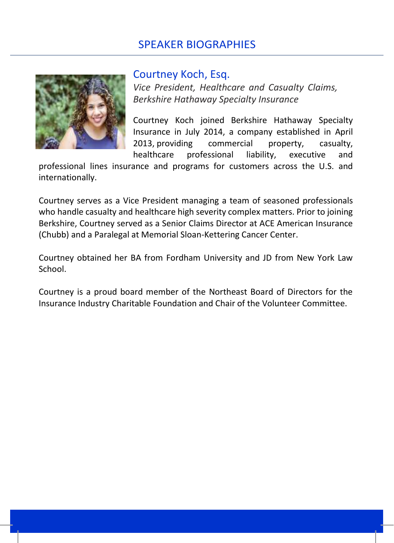

#### Courtney Koch, Esq.

*Vice President, Healthcare and Casualty Claims, Berkshire Hathaway Specialty Insurance*

Courtney Koch joined Berkshire Hathaway Specialty Insurance in July 2014, a company established in April 2013, providing commercial property, casualty, healthcare professional liability, executive and

professional lines insurance and programs for customers across the U.S. and internationally.

Courtney serves as a Vice President managing a team of seasoned professionals who handle casualty and healthcare high severity complex matters. Prior to joining Berkshire, Courtney served as a Senior Claims Director at ACE American Insurance (Chubb) and a Paralegal at Memorial Sloan-Kettering Cancer Center.

Courtney obtained her BA from Fordham University and JD from New York Law School.

Courtney is a proud board member of the Northeast Board of Directors for the Insurance Industry Charitable Foundation and Chair of the Volunteer Committee.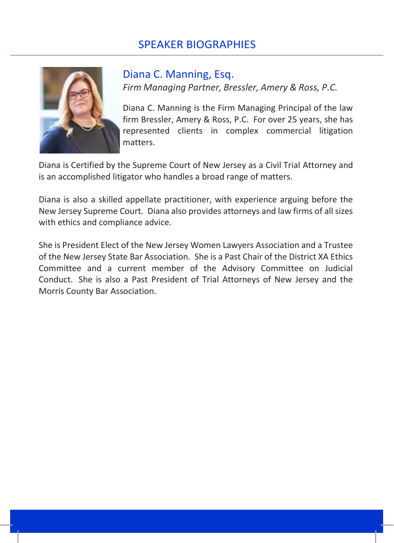

#### Diana C. Manning, Esq. *Firm Managing Partner, Bressler, Amery & Ross, P.C.*

Diana C. Manning is the Firm Managing Principal of the law firm Bressler, Amery & Ross, P.C. For over 25 years, she has represented clients in complex commercial litigation matters.

Diana is Certified by the Supreme Court of New Jersey as a Civil Trial Attorney and is an accomplished litigator who handles a broad range of matters.

Diana is also a skilled appellate practitioner, with experience arguing before the New Jersey Supreme Court. Diana also provides attorneys and law firms of all sizes with ethics and compliance advice.

She is President Elect of the New Jersey Women Lawyers Association and a Trustee of the New Jersey State Bar Association. She is a Past Chair of the District XA Ethics Committee and a current member of the Advisory Committee on Judicial Conduct. She is also a Past President of Trial Attorneys of New Jersey and the Morris County Bar Association.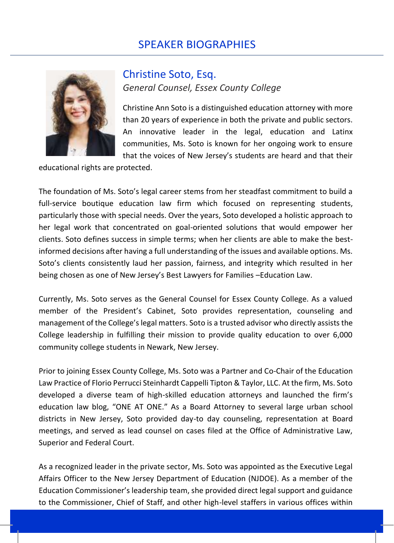

#### Christine Soto, Esq. *General Counsel, Essex County College*

Christine Ann Soto is a distinguished education attorney with more than 20 years of experience in both the private and public sectors. An innovative leader in the legal, education and Latinx communities, Ms. Soto is known for her ongoing work to ensure that the voices of New Jersey's students are heard and that their

educational rights are protected.

The foundation of Ms. Soto's legal career stems from her steadfast commitment to build a full-service boutique education law firm which focused on representing students, particularly those with special needs. Over the years, Soto developed a holistic approach to her legal work that concentrated on goal-oriented solutions that would empower her clients. Soto defines success in simple terms; when her clients are able to make the bestinformed decisions after having a full understanding of the issues and available options. Ms. Soto's clients consistently laud her passion, fairness, and integrity which resulted in her being chosen as one of New Jersey's Best Lawyers for Families –Education Law.

Currently, Ms. Soto serves as the General Counsel for Essex County College. As a valued member of the President's Cabinet, Soto provides representation, counseling and management of the College's legal matters. Soto is a trusted advisor who directly assists the College leadership in fulfilling their mission to provide quality education to over 6,000 community college students in Newark, New Jersey.

Prior to joining Essex County College, Ms. Soto was a Partner and Co-Chair of the Education Law Practice of Florio Perrucci Steinhardt Cappelli Tipton & Taylor, LLC. At the firm, Ms. Soto developed a diverse team of high-skilled education attorneys and launched the firm's education law blog, "ONE AT ONE." As a Board Attorney to several large urban school districts in New Jersey, Soto provided day-to day counseling, representation at Board meetings, and served as lead counsel on cases filed at the Office of Administrative Law, Superior and Federal Court.

As a recognized leader in the private sector, Ms. Soto was appointed as the Executive Legal Affairs Officer to the New Jersey Department of Education (NJDOE). As a member of the Education Commissioner's leadership team, she provided direct legal support and guidance to the Commissioner, Chief of Staff, and other high-level staffers in various offices within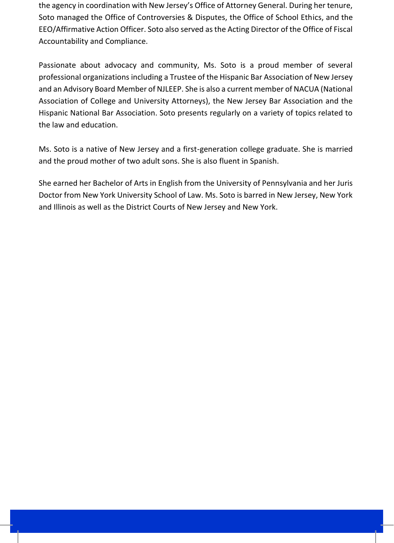the agency in coordination with New Jersey's Office of Attorney General. During her tenure, Soto managed the Office of Controversies & Disputes, the Office of School Ethics, and the EEO/Affirmative Action Officer. Soto also served as the Acting Director of the Office of Fiscal Accountability and Compliance.

Passionate about advocacy and community, Ms. Soto is a proud member of several professional organizations including a Trustee of the Hispanic Bar Association of New Jersey and an Advisory Board Member of NJLEEP. She is also a current member of NACUA (National Association of College and University Attorneys), the New Jersey Bar Association and the Hispanic National Bar Association. Soto presents regularly on a variety of topics related to the law and education.

Ms. Soto is a native of New Jersey and a first-generation college graduate. She is married and the proud mother of two adult sons. She is also fluent in Spanish.

She earned her Bachelor of Arts in English from the University of Pennsylvania and her Juris Doctor from New York University School of Law. Ms. Soto is barred in New Jersey, New York and Illinois as well as the District Courts of New Jersey and New York.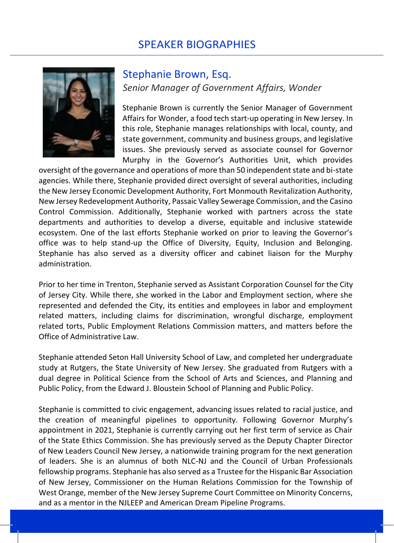

#### Stephanie Brown, Esq. *Senior Manager of Government Affairs, Wonder*

Stephanie Brown is currently the Senior Manager of Government Affairs for Wonder, a food tech start-up operating in New Jersey. In this role, Stephanie manages relationships with local, county, and state government, community and business groups, and legislative issues. She previously served as associate counsel for Governor Murphy in the Governor's Authorities Unit, which provides

oversight of the governance and operations of more than 50 independent state and bi-state agencies. While there, Stephanie provided direct oversight of several authorities, including the New Jersey Economic Development Authority, Fort Monmouth Revitalization Authority, New Jersey Redevelopment Authority, Passaic Valley Sewerage Commission, and the Casino Control Commission. Additionally, Stephanie worked with partners across the state departments and authorities to develop a diverse, equitable and inclusive statewide ecosystem. One of the last efforts Stephanie worked on prior to leaving the Governor's office was to help stand-up the Office of Diversity, Equity, Inclusion and Belonging. Stephanie has also served as a diversity officer and cabinet liaison for the Murphy administration.

Prior to her time in Trenton, Stephanie served as Assistant Corporation Counsel for the City of Jersey City. While there, she worked in the Labor and Employment section, where she represented and defended the City, its entities and employees in labor and employment related matters, including claims for discrimination, wrongful discharge, employment related torts, Public Employment Relations Commission matters, and matters before the Office of Administrative Law.

Stephanie attended Seton Hall University School of Law, and completed her undergraduate study at Rutgers, the State University of New Jersey. She graduated from Rutgers with a dual degree in Political Science from the School of Arts and Sciences, and Planning and Public Policy, from the Edward J. Bloustein School of Planning and Public Policy.

Stephanie is committed to civic engagement, advancing issues related to racial justice, and the creation of meaningful pipelines to opportunity. Following Governor Murphy's appointment in 2021, Stephanie is currently carrying out her first term of service as Chair of the State Ethics Commission. She has previously served as the Deputy Chapter Director of New Leaders Council New Jersey, a nationwide training program for the next generation of leaders. She is an alumnus of both NLC-NJ and the Council of Urban Professionals fellowship programs. Stephanie has also served as a Trustee for the Hispanic Bar Association of New Jersey, Commissioner on the Human Relations Commission for the Township of West Orange, member of the New Jersey Supreme Court Committee on Minority Concerns, and as a mentor in the NJLEEP and American Dream Pipeline Programs.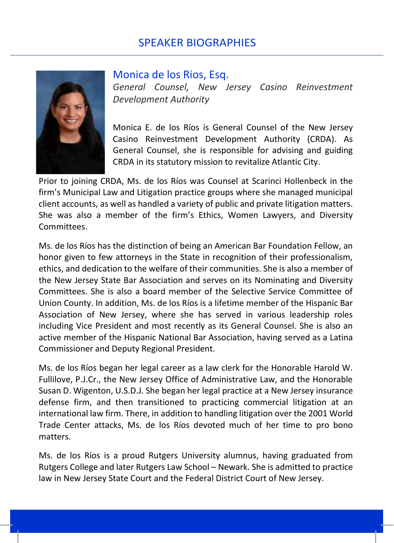

#### Monica de los Rios, Esq.

*General Counsel, New Jersey Casino Reinvestment Development Authority*

Monica E. de los Ríos is General Counsel of the New Jersey Casino Reinvestment Development Authority (CRDA). As General Counsel, she is responsible for advising and guiding CRDA in its statutory mission to revitalize Atlantic City.

Prior to joining CRDA, Ms. de los Ríos was Counsel at Scarinci Hollenbeck in the firm's Municipal Law and Litigation practice groups where she managed municipal client accounts, as well as handled a variety of public and private litigation matters. She was also a member of the firm's Ethics, Women Lawyers, and Diversity Committees.

Ms. de los Ríos has the distinction of being an American Bar Foundation Fellow, an honor given to few attorneys in the State in recognition of their professionalism, ethics, and dedication to the welfare of their communities. She is also a member of the New Jersey State Bar Association and serves on its Nominating and Diversity Committees. She is also a board member of the Selective Service Committee of Union County. In addition, Ms. de los Ríos is a lifetime member of the Hispanic Bar Association of New Jersey, where she has served in various leadership roles including Vice President and most recently as its General Counsel. She is also an active member of the Hispanic National Bar Association, having served as a Latina Commissioner and Deputy Regional President.

Ms. de los Ríos began her legal career as a law clerk for the Honorable Harold W. Fullilove, P.J.Cr., the New Jersey Office of Administrative Law, and the Honorable Susan D. Wigenton, U.S.D.J. She began her legal practice at a New Jersey insurance defense firm, and then transitioned to practicing commercial litigation at an international law firm. There, in addition to handling litigation over the 2001 World Trade Center attacks, Ms. de los Ríos devoted much of her time to pro bono matters.

Ms. de los Ríos is a proud Rutgers University alumnus, having graduated from Rutgers College and later Rutgers Law School – Newark. She is admitted to practice law in New Jersey State Court and the Federal District Court of New Jersey.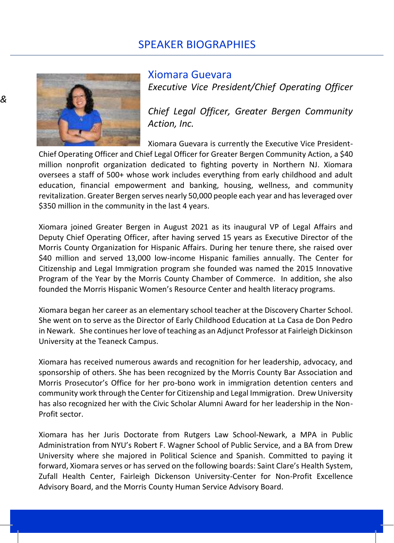

Xiomara Guevara *Executive Vice President/Chief Operating Officer* 

 *Chief Legal Officer, Greater Bergen Community Action, Inc.*

Xiomara Guevara is currently the Executive Vice President-Chief Operating Officer and Chief Legal Officer for Greater Bergen Community Action, a \$40 million nonprofit organization dedicated to fighting poverty in Northern NJ. Xiomara oversees a staff of 500+ whose work includes everything from early childhood and adult education, financial empowerment and banking, housing, wellness, and community revitalization. Greater Bergen serves nearly 50,000 people each year and has leveraged over \$350 million in the community in the last 4 years.

Xiomara joined Greater Bergen in August 2021 as its inaugural VP of Legal Affairs and Deputy Chief Operating Officer, after having served 15 years as Executive Director of the Morris County Organization for Hispanic Affairs. During her tenure there, she raised over \$40 million and served 13,000 low-income Hispanic families annually. The Center for Citizenship and Legal Immigration program she founded was named the 2015 Innovative Program of the Year by the Morris County Chamber of Commerce. In addition, she also founded the Morris Hispanic Women's Resource Center and health literacy programs.

Xiomara began her career as an elementary school teacher at the Discovery Charter School. She went on to serve as the Director of Early Childhood Education at La Casa de Don Pedro in Newark. She continues her love of teaching as an Adjunct Professor at Fairleigh Dickinson University at the Teaneck Campus.

Xiomara has received numerous awards and recognition for her leadership, advocacy, and sponsorship of others. She has been recognized by the Morris County Bar Association and Morris Prosecutor's Office for her pro-bono work in immigration detention centers and community work through the Center for Citizenship and Legal Immigration. Drew University has also recognized her with the Civic Scholar Alumni Award for her leadership in the Non-Profit sector.

Xiomara has her Juris Doctorate from Rutgers Law School-Newark, a MPA in Public Administration from NYU's Robert F. Wagner School of Public Service, and a BA from Drew University where she majored in Political Science and Spanish. Committed to paying it forward, Xiomara serves or has served on the following boards: Saint Clare's Health System, Zufall Health Center, Fairleigh Dickenson University-Center for Non-Profit Excellence Advisory Board, and the Morris County Human Service Advisory Board.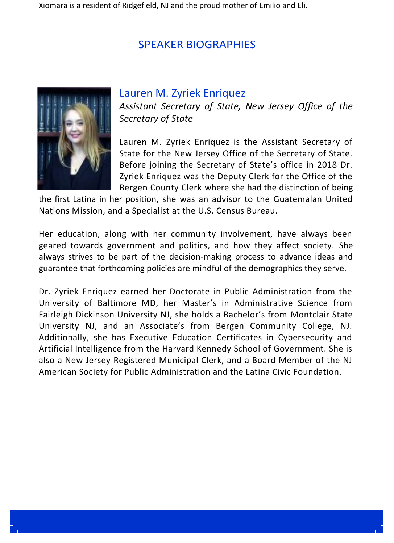

#### Lauren M. Zyriek Enriquez

 *Assistant Secretary of State, New Jersey Office of the Secretary of State*

Lauren M. Zyriek Enriquez is the Assistant Secretary of State for the New Jersey Office of the Secretary of State. Before joining the Secretary of State's office in 2018 Dr. Zyriek Enriquez was the Deputy Clerk for the Office of the Bergen County Clerk where she had the distinction of being

the first Latina in her position, she was an advisor to the Guatemalan United Nations Mission, and a Specialist at the U.S. Census Bureau.

Her education, along with her community involvement, have always been geared towards government and politics, and how they affect society. She always strives to be part of the decision-making process to advance ideas and guarantee that forthcoming policies are mindful of the demographics they serve.

Dr. Zyriek Enriquez earned her Doctorate in Public Administration from the University of Baltimore MD, her Master's in Administrative Science from Fairleigh Dickinson University NJ, she holds a Bachelor's from Montclair State University NJ, and an Associate's from Bergen Community College, NJ. Additionally, she has Executive Education Certificates in Cybersecurity and Artificial Intelligence from the Harvard Kennedy School of Government. She is also a New Jersey Registered Municipal Clerk, and a Board Member of the NJ American Society for Public Administration and the Latina Civic Foundation.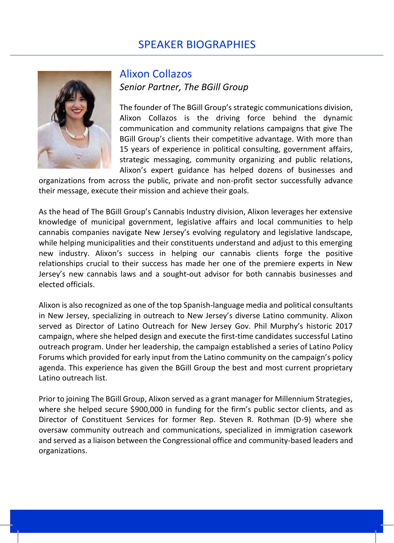

#### Alixon Collazos *Senior Partner, The BGill Group*

The founder of The BGill Group's strategic communications division, Alixon Collazos is the driving force behind the dynamic communication and community relations campaigns that give The BGill Group's clients their competitive advantage. With more than 15 years of experience in political consulting, government affairs, strategic messaging, community organizing and public relations, Alixon's expert guidance has helped dozens of businesses and

organizations from across the public, private and non-profit sector successfully advance their message, execute their mission and achieve their goals.

As the head of The BGill Group's Cannabis Industry division, Alixon leverages her extensive knowledge of municipal government, legislative affairs and local communities to help cannabis companies navigate New Jersey's evolving regulatory and legislative landscape, while helping municipalities and their constituents understand and adjust to this emerging new industry. Alixon's success in helping our cannabis clients forge the positive relationships crucial to their success has made her one of the premiere experts in New Jersey's new cannabis laws and a sought-out advisor for both cannabis businesses and elected officials.

Alixon is also recognized as one of the top Spanish-language media and political consultants in New Jersey, specializing in outreach to New Jersey's diverse Latino community. Alixon served as Director of Latino Outreach for New Jersey Gov. Phil Murphy's historic 2017 campaign, where she helped design and execute the first-time candidates successful Latino outreach program. Under her leadership, the campaign established a series of Latino Policy Forums which provided for early input from the Latino community on the campaign's policy agenda. This experience has given the BGill Group the best and most current proprietary Latino outreach list.

Prior to joining The BGill Group, Alixon served as a grant manager for Millennium Strategies, where she helped secure \$900,000 in funding for the firm's public sector clients, and as Director of Constituent Services for former Rep. Steven R. Rothman (D-9) where she oversaw community outreach and communications, specialized in immigration casework and served as a liaison between the Congressional office and community-based leaders and organizations.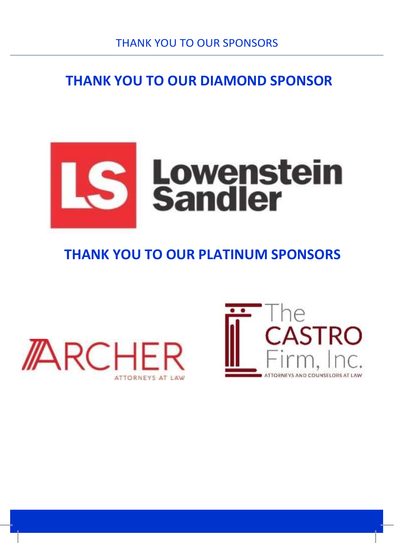# **THANK YOU TO OUR DIAMOND SPONSOR**



## **THANK YOU TO OUR PLATINUM SPONSORS**



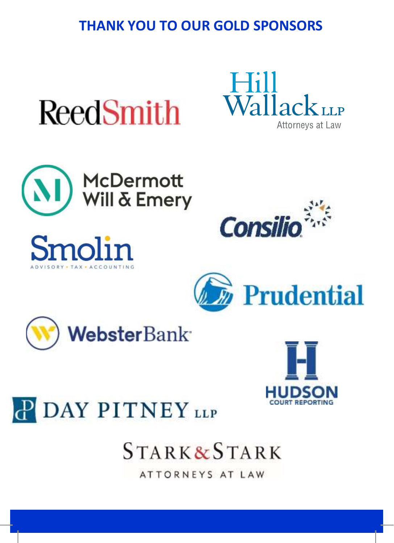## **THANK YOU TO OUR GOLD SPONSORS**



















# **STARK&STARK**

ATTORNEYS AT LAW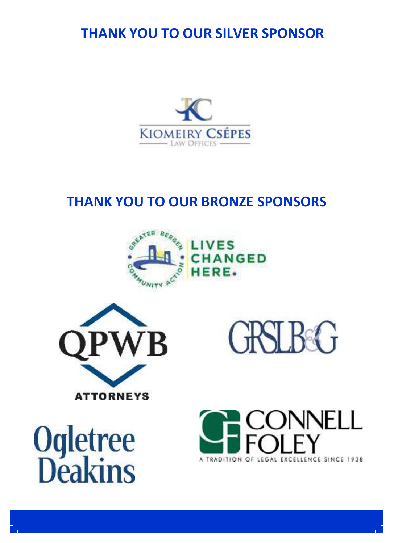**THANK YOU TO OUR SILVER SPONSOR**



## **THANK YOU TO OUR BRONZE SPONSORS**





**GRSLBG** 

**Ogletree**<br>**Deakins** 

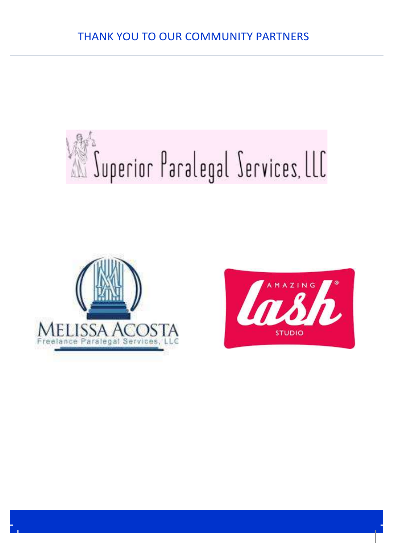# Juperior Paralegal Services, LLC



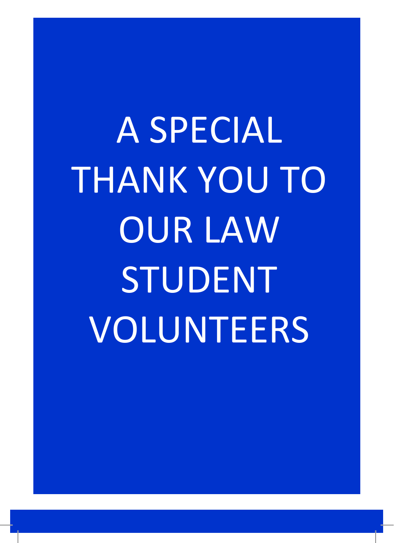A SPECIAL THANK YOU TO OUR LAW STUDENT VOLUNTEERS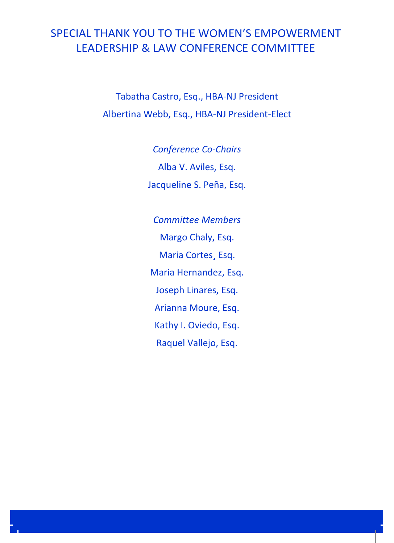### SPECIAL THANK YOU TO THE WOMEN'S EMPOWERMENT LEADERSHIP & LAW CONFERENCE COMMITTEE

Tabatha Castro, Esq., HBA-NJ President Albertina Webb, Esq., HBA-NJ President-Elect

> *Conference Co-Chairs* Alba V. Aviles, Esq. Jacqueline S. Peña, Esq.

*Committee Members* Margo Chaly, Esq. Maria Cortes¸ Esq. Maria Hernandez, Esq. Joseph Linares, Esq. Arianna Moure, Esq. Kathy I. Oviedo, Esq. Raquel Vallejo, Esq.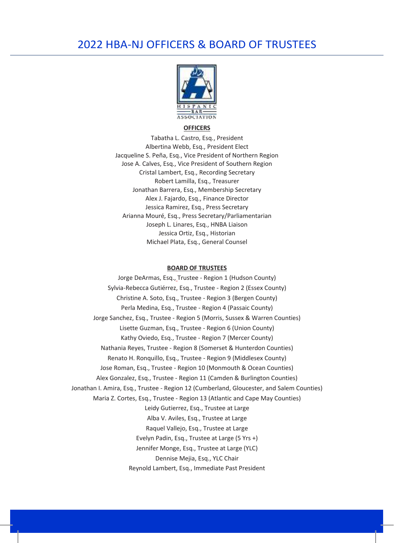#### 2022 HBA-NJ OFFICERS & BOARD OF TRUSTEES



#### **OFFICERS**

Tabatha L. Castro, Esq., President Albertina Webb, Esq., President Elect Jacqueline S. Peña, Esq., Vice President of Northern Region Jose A. Calves, Esq., Vice President of Southern Region Cristal Lambert, Esq., Recording Secretary Robert Lamilla, Esq., Treasurer Jonathan Barrera, Esq., Membership Secretary Alex J. Fajardo, Esq., Finance Director Jessica Ramirez, Esq., Press Secretary Arianna Mouré, Esq., Press Secretary/Parliamentarian Joseph L. Linares, Esq., HNBA Liaison Jessica Ortiz, Esq., Historian Michael Plata, Esq., General Counsel

#### **BOARD OF TRUSTEES**

Jorge DeArmas, Esq., Trustee - Region 1 (Hudson County) Sylvia-Rebecca Gutiérrez, Esq., Trustee - Region 2 (Essex County) Christine A. Soto, Esq., Trustee - Region 3 (Bergen County) Perla Medina, Esq., Trustee - Region 4 (Passaic County) Jorge Sanchez, Esq., Trustee - Region 5 (Morris, Sussex & Warren Counties) Lisette Guzman, Esq., Trustee - Region 6 (Union County) Kathy Oviedo, Esq., Trustee - Region 7 (Mercer County) Nathania Reyes, Trustee - Region 8 (Somerset & Hunterdon Counties) Renato H. Ronquillo, Esq., Trustee - Region 9 (Middlesex County) Jose Roman, Esq., Trustee - Region 10 (Monmouth & Ocean Counties) Alex Gonzalez, Esq., Trustee - Region 11 (Camden & Burlington Counties) Jonathan I. Amira, Esq., Trustee - Region 12 (Cumberland, Gloucester, and Salem Counties) Maria Z. Cortes, Esq., Trustee - Region 13 (Atlantic and Cape May Counties) Leidy Gutierrez, Esq., Trustee at Large Alba V. Aviles, Esq., Trustee at Large Raquel Vallejo, Esq., Trustee at Large Evelyn Padin, Esq., Trustee at Large (5 Yrs +) Jennifer Monge, Esq., Trustee at Large (YLC) Dennise Mejia, Esq., YLC Chair Reynold Lambert, Esq., Immediate Past President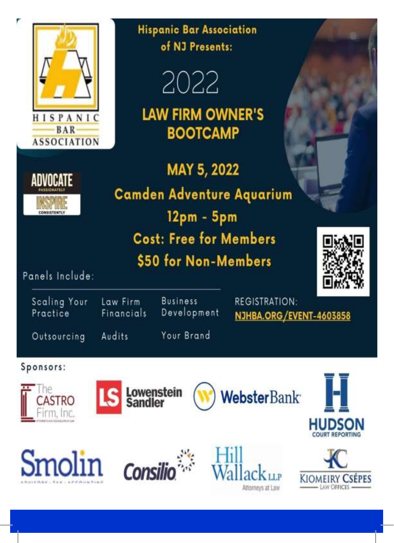







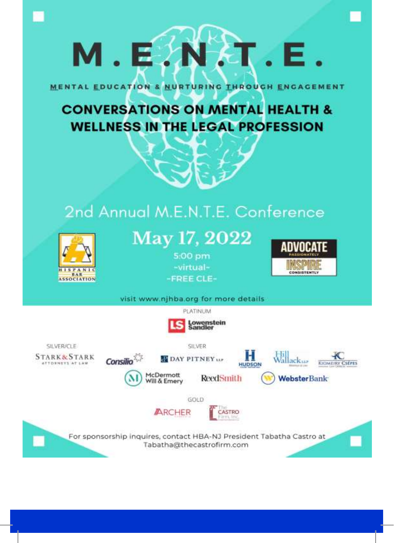# M.E.N.T.E.

MENTAL EDUCATION & NURTURING THROUGH ENGAGEMENT

# **CONVERSATIONS ON MENTAL HEALTH & WELLNESS IN THE LEGAL PROFESSION**

# 2nd Annual M.E.N.T.E. Conference



# May 17, 2022

5:00 pm -virtual--FREE CLE-



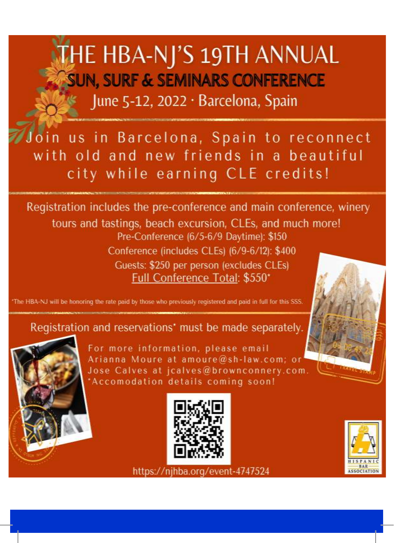# **THE HBA-NJ'S 19TH ANNUAL SUN, SURF & SEMINARS CONFERENCE** June 5-12, 2022 · Barcelona, Spain

Join us in Barcelona, Spain to reconnect with old and new friends in a beautiful city while earning CLE credits!

Registration includes the pre-conference and main conference, winery tours and tastings, beach excursion, CLEs, and much more! Pre-Conference (6/5-6/9 Daytime): \$150 Conference (includes CLEs) (6/9-6/12): \$400 Guests: \$250 per person (excludes CLEs) Full Conference Total: \$550\*

The HBA-NJ will be honoring the rate paid by those who previously registered and paid in full for this SSS.

#### Registration and reservations' must be made separately.



For more information, please email Arianna Moure at amoure@sh-law.com; o Jose Calves at jcalves@brownconnery.com 'Accomodation details coming soon!





https://njhba.org/event-4747524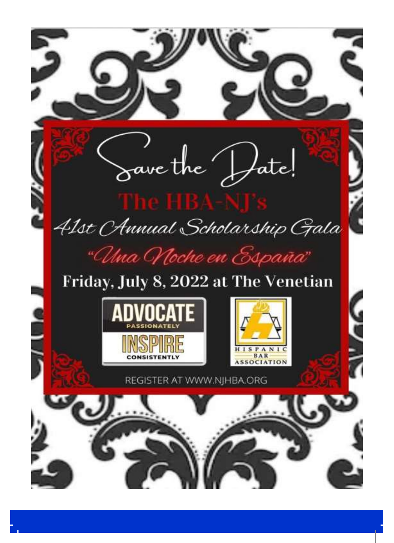